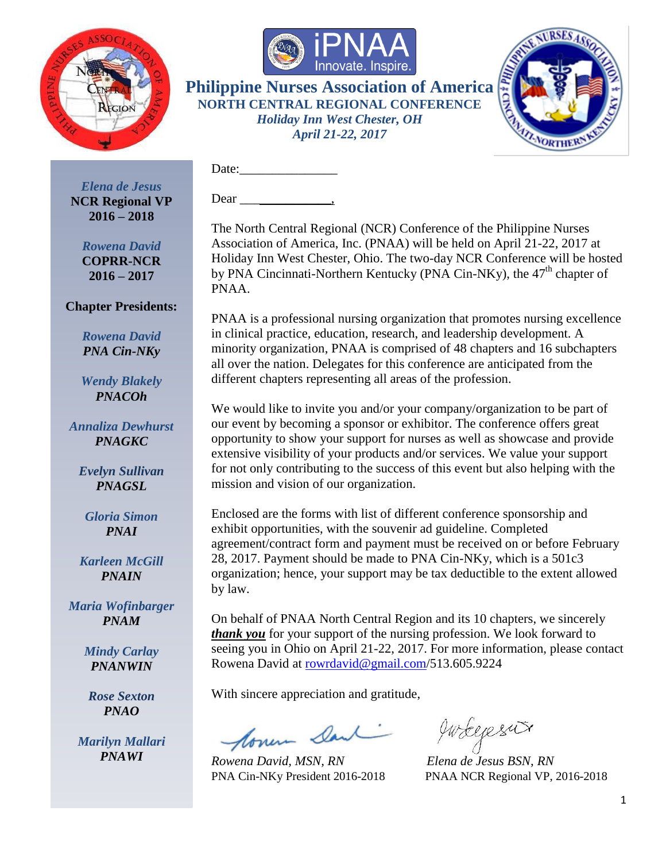



Date:

Dear .



*Elena de Jesus* **NCR Regional VP 2016 – 2018**

*Rowena David* **COPRR-NCR 2016 – 2017**

#### **Chapter Presidents:**

*Rowena David PNA Cin-NKy*

*Wendy Blakely PNACOh*

*Annaliza Dewhurst PNAGKC*

*Evelyn Sullivan PNAGSL*

*Gloria Simon PNAI*

*Karleen McGill PNAIN*

*Maria Wofinbarger PNAM*

> *Mindy Carlay PNANWIN*

*Rose Sexton PNAO*

*Marilyn Mallari PNAWI*

The North Central Regional (NCR) Conference of the Philippine Nurses Association of America, Inc. (PNAA) will be held on April 21-22, 2017 at Holiday Inn West Chester, Ohio. The two-day NCR Conference will be hosted by PNA Cincinnati-Northern Kentucky (PNA Cin-NKy), the 47<sup>th</sup> chapter of PNAA.

PNAA is a professional nursing organization that promotes nursing excellence in clinical practice, education, research, and leadership development. A minority organization, PNAA is comprised of 48 chapters and 16 subchapters all over the nation. Delegates for this conference are anticipated from the different chapters representing all areas of the profession.

We would like to invite you and/or your company/organization to be part of our event by becoming a sponsor or exhibitor. The conference offers great opportunity to show your support for nurses as well as showcase and provide extensive visibility of your products and/or services. We value your support for not only contributing to the success of this event but also helping with the mission and vision of our organization.

Enclosed are the forms with list of different conference sponsorship and exhibit opportunities, with the souvenir ad guideline. Completed agreement/contract form and payment must be received on or before February 28, 2017. Payment should be made to PNA Cin-NKy, which is a 501c3 organization; hence, your support may be tax deductible to the extent allowed by law.

On behalf of PNAA North Central Region and its 10 chapters, we sincerely *thank you* for your support of the nursing profession. We look forward to seeing you in Ohio on April 21-22, 2017. For more information, please contact Rowena David at [rowrdavid@gmail.com/](mailto:rowrdavid@gmail.com)513.605.9224

With sincere appreciation and gratitude,

floren Dank

*Rowena David, MSN, RN Elena de Jesus BSN, RN*

gwregers

PNA Cin-NKy President 2016-2018 PNAA NCR Regional VP, 2016-2018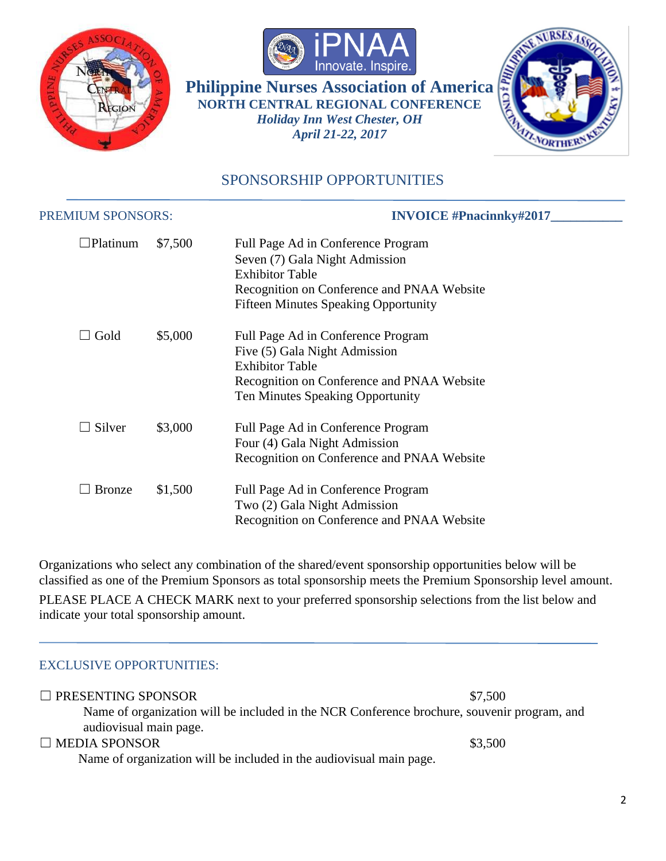





## SPONSORSHIP OPPORTUNITIES

| <b>PREMIUM SPONSORS:</b> |         | <b>INVOICE</b> #Pnacinnky#2017                                                                                                                                                              |  |
|--------------------------|---------|---------------------------------------------------------------------------------------------------------------------------------------------------------------------------------------------|--|
| $\Box$ Platinum          | \$7,500 | Full Page Ad in Conference Program<br>Seven (7) Gala Night Admission<br><b>Exhibitor Table</b><br>Recognition on Conference and PNAA Website<br><b>Fifteen Minutes Speaking Opportunity</b> |  |
| $\Box$ Gold              | \$5,000 | Full Page Ad in Conference Program<br>Five (5) Gala Night Admission<br><b>Exhibitor Table</b><br>Recognition on Conference and PNAA Website<br>Ten Minutes Speaking Opportunity             |  |
| Silver                   | \$3,000 | Full Page Ad in Conference Program<br>Four (4) Gala Night Admission<br>Recognition on Conference and PNAA Website                                                                           |  |
| <b>Bronze</b>            | \$1,500 | Full Page Ad in Conference Program<br>Two (2) Gala Night Admission<br>Recognition on Conference and PNAA Website                                                                            |  |

Organizations who select any combination of the shared/event sponsorship opportunities below will be classified as one of the Premium Sponsors as total sponsorship meets the Premium Sponsorship level amount.

PLEASE PLACE A CHECK MARK next to your preferred sponsorship selections from the list below and indicate your total sponsorship amount.

#### EXCLUSIVE OPPORTUNITIES:

| $\Box$ PRESENTING SPONSOR                                                                   | \$7,500 |
|---------------------------------------------------------------------------------------------|---------|
| Name of organization will be included in the NCR Conference brochure, souvenir program, and |         |
| audiovisual main page.                                                                      |         |
| $\Box$ MEDIA SPONSOR                                                                        | \$3,500 |
| Name of organization will be included in the audiovisual main page.                         |         |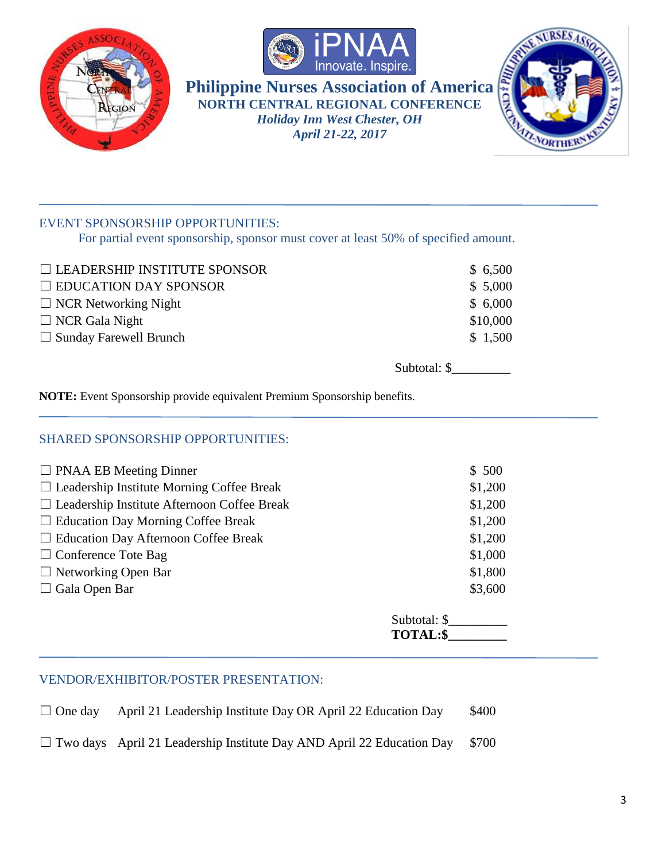





### EVENT SPONSORSHIP OPPORTUNITIES:

For partial event sponsorship, sponsor must cover at least 50% of specified amount.

| $\Box$ LEADERSHIP INSTITUTE SPONSOR | \$6,500  |
|-------------------------------------|----------|
| $\Box$ EDUCATION DAY SPONSOR        | \$5,000  |
| $\Box$ NCR Networking Night         | \$6,000  |
| $\Box$ NCR Gala Night               | \$10,000 |
| $\Box$ Sunday Farewell Brunch       | \$1,500  |
|                                     |          |

Subtotal: \$

**NOTE:** Event Sponsorship provide equivalent Premium Sponsorship benefits.

#### SHARED SPONSORSHIP OPPORTUNITIES:

| $\Box$ PNAA EB Meeting Dinner                      | \$500                           |
|----------------------------------------------------|---------------------------------|
| $\Box$ Leadership Institute Morning Coffee Break   | \$1,200                         |
| $\Box$ Leadership Institute Afternoon Coffee Break | \$1,200                         |
| $\Box$ Education Day Morning Coffee Break          | \$1,200                         |
| $\Box$ Education Day Afternoon Coffee Break        | \$1,200                         |
| $\Box$ Conference Tote Bag                         | \$1,000                         |
| $\Box$ Networking Open Bar                         | \$1,800                         |
| $\Box$ Gala Open Bar                               | \$3,600                         |
|                                                    | Subtotal: \$<br><b>TOTAL:\$</b> |

#### VENDOR/EXHIBITOR/POSTER PRESENTATION:

 $\Box$  One day April 21 Leadership Institute Day OR April 22 Education Day \$400

 $\Box$  Two days April 21 Leadership Institute Day AND April 22 Education Day \$700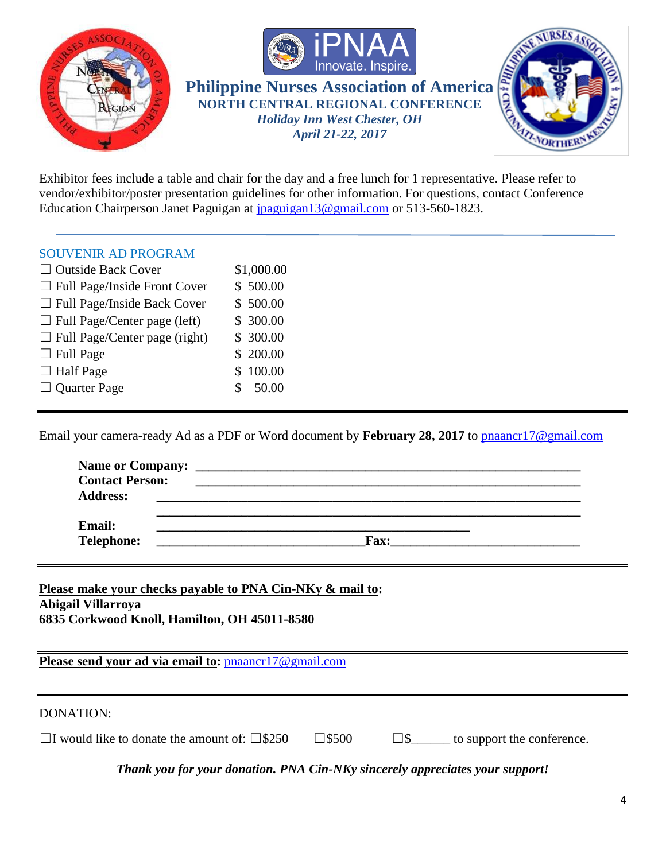





Exhibitor fees include a table and chair for the day and a free lunch for 1 representative. Please refer to vendor/exhibitor/poster presentation guidelines for other information. For questions, contact Conference Education Chairperson Janet Paguigan at *jpaguigan* 13@gmail.com or 513-560-1823.

#### SOUVENIR AD PROGRAM

| $\Box$ Outside Back Cover            | \$1,000.00 |
|--------------------------------------|------------|
| $\Box$ Full Page/Inside Front Cover  | \$500.00   |
| $\Box$ Full Page/Inside Back Cover   | \$500.00   |
| $\Box$ Full Page/Center page (left)  | \$ 300.00  |
| $\Box$ Full Page/Center page (right) | \$ 300.00  |
| $\Box$ Full Page                     | \$ 200.00  |
| $\Box$ Half Page                     | \$100.00   |
| $\Box$ Quarter Page                  | \$50.00    |
|                                      |            |

Email your camera-ready Ad as a PDF or Word document by **February 28, 2017** to [pnaancr17@gmail.com](file:///C:/Users/PaguiJA/Desktop/PNA%20Cin-NKy/pnaancr17@gmail.com)

| <b>Contact Person:</b>    |  |
|---------------------------|--|
| <b>Address:</b><br>Email: |  |

**Telephone: \_\_\_\_\_\_\_\_\_\_\_\_\_\_\_\_\_\_\_\_\_\_\_\_\_\_\_\_\_\_\_\_Fax:\_\_\_\_\_\_\_\_\_\_\_\_\_\_\_\_\_\_\_\_\_\_\_\_\_\_\_\_\_**

**Please make your checks payable to PNA Cin-NKy & mail to: Abigail Villarroya 6835 Corkwood Knoll, Hamilton, OH 45011-8580**

Please send your ad via email to: **[pnaancr17@gmail.com](mailto:pnaancr17@gmail.com)** 

#### DONATION:

☐I would like to donate the amount of: ☐\$250 ☐\$500 ☐\$\_\_\_\_\_\_ to support the conference.

*Thank you for your donation. PNA Cin-NKy sincerely appreciates your support!*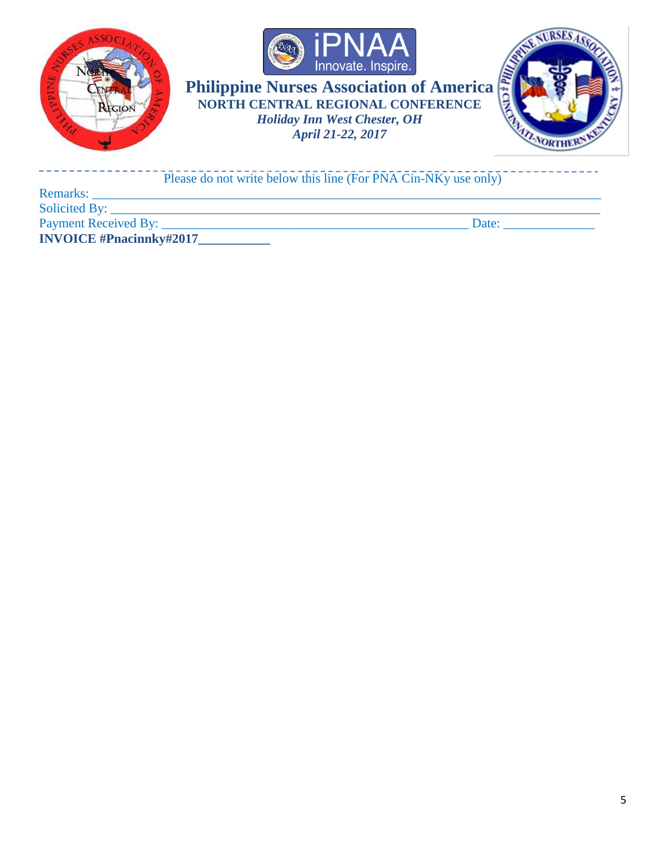





| Please do not write below this line (For PNA Cin-NKy use only) |       |
|----------------------------------------------------------------|-------|
| <b>Remarks:</b>                                                |       |
| Solicited By:                                                  |       |
| Payment Received By:                                           | Date: |
| <b>INVOICE</b> #Pnacinnky#2017                                 |       |